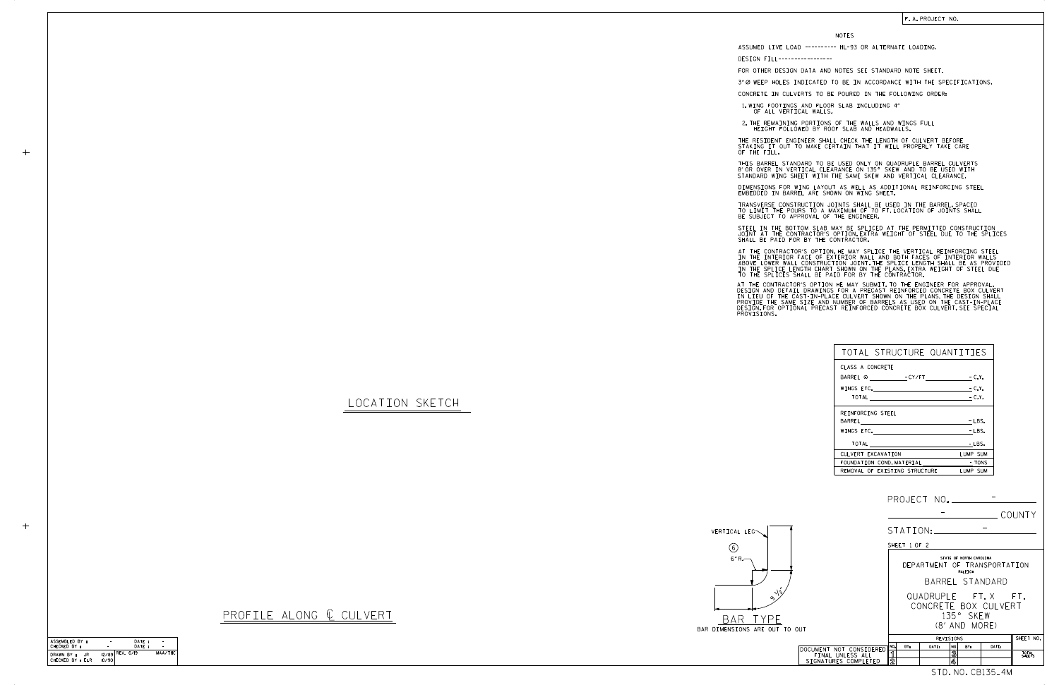| ASSEMBLED BY :                        |       | DATE:           |         |
|---------------------------------------|-------|-----------------|---------|
| CHECKED BY :                          |       | DATF:           |         |
| DRAWN BY :<br>.JR<br>CHECKED BY : ELR | 10/90 | 12/89 REV. 6/19 | MAA/THC |

|                                                                     |                                            |                                                         |       | COUNTY          |
|---------------------------------------------------------------------|--------------------------------------------|---------------------------------------------------------|-------|-----------------|
|                                                                     | STATION:                                   |                                                         |       |                 |
|                                                                     | SHEET 1 OF 2                               |                                                         |       |                 |
|                                                                     | DEPARTMENT OF TRANSPORTATION               | STATE OF NORTH CAROLINA<br>RALEIGH                      |       |                 |
|                                                                     |                                            | BARREL STANDARD                                         |       |                 |
|                                                                     |                                            | QUADRUPLE FT.X FT.<br>CONCRETE BOX CULVERT<br>135° SKFW |       |                 |
| TO OUT                                                              |                                            | (8' AND MORE)                                           |       |                 |
|                                                                     |                                            | REVISIONS                                               |       | SHEET NO.       |
| DOCUMENT NOT CONSIDERED<br>FINAL UNLESS ALL<br>SIGNATURES COMPLETED | NO.<br>BY:<br>DATE:<br>1<br>$\overline{2}$ | NO.<br>BY:<br>3<br>4                                    | DATE: | TOTAL<br>SHEETS |
|                                                                     |                                            | STD.NO.CB135_4M                                         |       |                 |

## LOCATION SKETCH

| JOINT AT T<br>SHALL BE P  |                                                                                     |  |
|---------------------------|-------------------------------------------------------------------------------------|--|
| ABOVE LOWE<br>IN THE SPLI | AT THE CON<br>IN THE INTI<br>TO THE SPLI                                            |  |
|                           | AT THE CON'<br>DESIGN AND<br>IN LIEU OF<br>PROVIDE THE<br>DESIGN.FOR<br>PROVISIONS. |  |

 $+$ 

 $+$ 



## PROFILE ALONG  $C$  CULVERT

STEEL IN THE BOTTOM SLAB MAY BE SPLICED AT THE PERMITTED CONSTRUCTION JOINT AT THE CONTRACTOR'S OPTION.EXTRA WEIGHT OF STEEL DUE TO THE SPLICES<br>SHALL BE PAID FOR BY THE CONTRACTOR.

| TOTAL STRUCTURE QUANTITIES                                                                                                                                                                                                     |          |
|--------------------------------------------------------------------------------------------------------------------------------------------------------------------------------------------------------------------------------|----------|
| CLASS A CONCRETE                                                                                                                                                                                                               |          |
|                                                                                                                                                                                                                                |          |
|                                                                                                                                                                                                                                | $-C.Y.$  |
| $\begin{array}{cccccccccc} \texttt{TOTAL} & & & & \texttt{- C.Y.} \end{array}$                                                                                                                                                 |          |
| REINFORCING STEEL                                                                                                                                                                                                              |          |
|                                                                                                                                                                                                                                | $-$ LBS. |
| WINGS ETC. The contract of the contract of the contract of the contract of the contract of the contract of the contract of the contract of the contract of the contract of the contract of the contract of the contract of the | $-LBS.$  |
| TOTAL <u>______</u>                                                                                                                                                                                                            | $-LBS.$  |
| CULVERT EXCAVATION                                                                                                                                                                                                             | LUMP SUM |
| FOUNDATION COND. MATERIAL TONS                                                                                                                                                                                                 |          |
| REMOVAL OF EXISTING STRUCTURE                                                                                                                                                                                                  | LUMP SUM |

NOTES

DESIGN FILL-----------------

FOR OTHER DESIGN DATA AND NOTES SEE STANDARD NOTE SHEET.

3" Ø WEEP HOLES INDICATED TO BE IN ACCORDANCE WITH THE SPECIFICATIONS.

STANDARD WING SHEET WITH THE SAME SKEW AND VERTICAL CLEARANCE. THIS BARREL STANDARD TO BE USED ONLY ON QUADRUPLE BARREL CULVERTS<br>8'OR OVER IN VERTICAL CLEARANCE ON 135° SKEW AND TO BE USED WITH

DIMENSIONS FOR WING LAYOUT AS WELL AS ADDITIONAL REINFORCING STEEL<br>EMBEDDED IN BARREL ARE SHOWN ON WING SHEET.

TRANSVERSE CONSTRUCTION JOINTS SHALL BE USED IN THE BARREL,SPACED<br>TO LIMIT THE POURS TO A MAXIMUM OF 70 FT.LOCATION OF JOINTS SHALL<br>BE SUBJECT TO APPROVAL OF THE ENGINEER.

CONCRETE IN CULVERTS TO BE POURED IN THE FOLLOWING ORDER:

1.WING FOOTINGS AND FLOOR SLAB INCLUDING 4"<br>OF ALL VERTICAL WALLS.

2.THE REMAINING PORTIONS OF THE WALLS AND WINGS FULL<br>HEIGHT FOLLOWED BY ROOF SLAB AND HEADWALLS.

THE RESIDENT ENGINEER SHALL CHECK THE LENGTH OF CULVERT BEFORE<br>STAKING IT OUT TO MAKE CERTAIN THAT IT WILL PROPERLY TAKE CARE<br>OF THE FILL.

IN THE INTERIOR FACE OF EXTERIOR WALL AND BOTH FACES OF INTERIOR WALLS<br>ABOVE LOWER WALL CONSTRUCTION JOINT THE SPLICE LENGTH SHALL BE AS PROVIDED<br>IN THE SPLICE LENGTH CHART SHOWN ON THE PLANS EXTRA WEIGHT OF STEEL DUE<br>TO T AT THE CONTRACTOR'S OPTION, HE MAY SPLICE THE VERTICAL REINFORCING STEEL

AT THE CONTRACTOR'S OPTION HE MAY SUBMIT, TO THE ENGINEER FOR APPROVAL,<br>DESIGN AND DETAIL DRAWINGS FOR A PRECAST REINFORCED CONCRETE BOX CULVERT<br>IN LIEU OF THE CAST-IN-PLACE CULVERT SHOWN ON THE PLANS.THE DESIGN SHALL<br>PROV

ASSUMED LIVE LOAD ---------- HL-93 OR ALTERNATE LOADING.